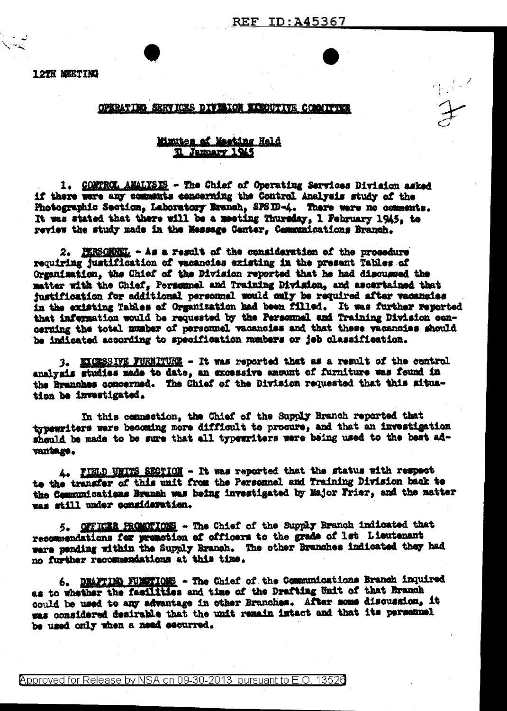12TH MEETING

## OPERATION SERVICES DIVISION EXPOUTIVE COMMITTEE

## Mimites of Meeting Held Il Jammary 1945

1. CONTROL ANALYSIS - The Chief of Operating Services Division asked if there were any comments concerning the Control Analysis study of the Photographic Section, Laboratory Branch, SPSID-4. There were no comments. It was stated that there will be a meeting Thursday, 1 February 1945, to review the study made in the Message Center. Communications Branch.

2. PERSONNEL - As a result of the consideration of the procedure requiring justification of vacancies existing in the present Tables of Organization, the Chief of the Division reported that he had discussed the matter with the Chief, Personnel and Training Division, and ascertained that justification for additional personnel would only be required after vacancies in the existing Tables of Organization had been filled. It was further reported that infermation would be requested by the Personnel and Training Division concerning the total mumber of personnel vacancies and that these vacancies should be indicated according to specification numbers or jeb classification.

3. KXCESSIVE FURNITURE - It was reported that as a result of the control analysis studies made to date, an excessive amount of furniture was found in the Branches concerned. The Chief of the Division requested that this situation be investigated.

In this connection, the Chief of the Supply Branch reported that typewriters were becoming more difficult to procure, and that an investigation should be made to be sure that all typewriters were being used to the best advantage.

4. FIELD UNITS SECTION - It was reported that the status with respect to the transfer of this unit from the Personnel and Training Division back to the Communications Branch was being investigated by Major Frier, and the matter was still under consideration.

5. OFFICER PROMETIONS - The Chief of the Supply Branch indicated that recommendations for premetion of officers to the grade of 1st Lieutenant were panding within the Supply Branch. The other Branches indicated they had no further recommendations at this time.

6. DRAFTING FUNCTIONS - The Chief of the Communications Branch inquired as to whether the facilities and time of the Drafting Unit of that Branch could be used to any advantage in other Branches. After some discussion, it was considered desirable that the unit remain intact and that its personnel be used only when a need occurred.

Approved for Release by NSA on 09-30-2013 pursuant to E.O. 13520